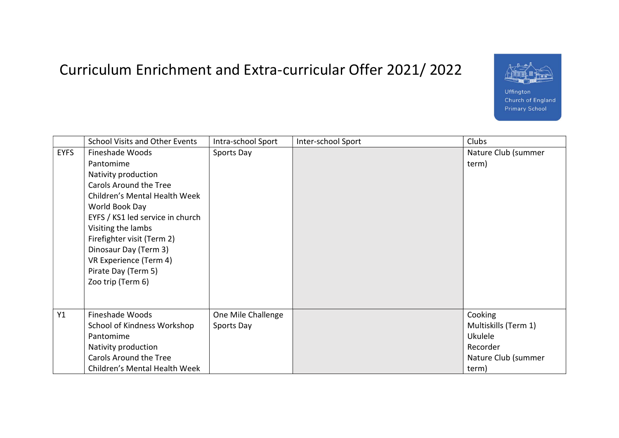## Curriculum Enrichment and Extra-curricular Offer 2021/ 2022



Uffington Church of England **Primary School** 

|             | <b>School Visits and Other Events</b>                                                                                                                                                                                                                                                                                   | Intra-school Sport               | Inter-school Sport | Clubs                                                  |
|-------------|-------------------------------------------------------------------------------------------------------------------------------------------------------------------------------------------------------------------------------------------------------------------------------------------------------------------------|----------------------------------|--------------------|--------------------------------------------------------|
| <b>EYFS</b> | Fineshade Woods<br>Pantomime<br>Nativity production<br>Carols Around the Tree<br>Children's Mental Health Week<br>World Book Day<br>EYFS / KS1 led service in church<br>Visiting the lambs<br>Firefighter visit (Term 2)<br>Dinosaur Day (Term 3)<br>VR Experience (Term 4)<br>Pirate Day (Term 5)<br>Zoo trip (Term 6) | Sports Day                       |                    | Nature Club (summer<br>term)                           |
| Y1          | Fineshade Woods<br>School of Kindness Workshop<br>Pantomime<br>Nativity production                                                                                                                                                                                                                                      | One Mile Challenge<br>Sports Day |                    | Cooking<br>Multiskills (Term 1)<br>Ukulele<br>Recorder |
|             | Carols Around the Tree<br>Children's Mental Health Week                                                                                                                                                                                                                                                                 |                                  |                    | Nature Club (summer<br>term)                           |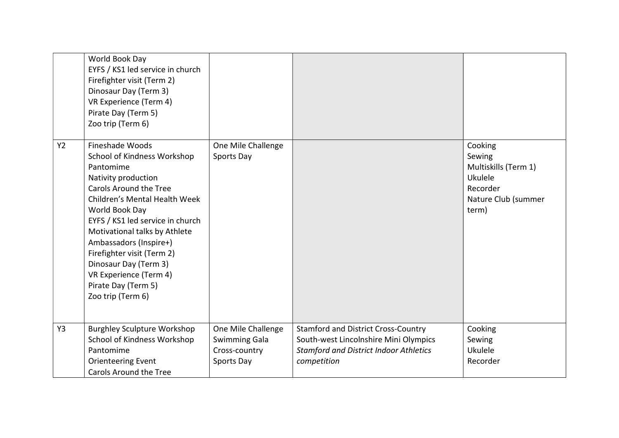|    | World Book Day<br>EYFS / KS1 led service in church<br>Firefighter visit (Term 2)<br>Dinosaur Day (Term 3)<br>VR Experience (Term 4)<br>Pirate Day (Term 5)<br>Zoo trip (Term 6)                                                                                                                                                                                                                    |                                                                           |                                                                                                                                                     |                                                                                                  |
|----|----------------------------------------------------------------------------------------------------------------------------------------------------------------------------------------------------------------------------------------------------------------------------------------------------------------------------------------------------------------------------------------------------|---------------------------------------------------------------------------|-----------------------------------------------------------------------------------------------------------------------------------------------------|--------------------------------------------------------------------------------------------------|
| Y2 | Fineshade Woods<br>School of Kindness Workshop<br>Pantomime<br>Nativity production<br><b>Carols Around the Tree</b><br>Children's Mental Health Week<br>World Book Day<br>EYFS / KS1 led service in church<br>Motivational talks by Athlete<br>Ambassadors (Inspire+)<br>Firefighter visit (Term 2)<br>Dinosaur Day (Term 3)<br>VR Experience (Term 4)<br>Pirate Day (Term 5)<br>Zoo trip (Term 6) | One Mile Challenge<br>Sports Day                                          |                                                                                                                                                     | Cooking<br>Sewing<br>Multiskills (Term 1)<br>Ukulele<br>Recorder<br>Nature Club (summer<br>term) |
| Y3 | <b>Burghley Sculpture Workshop</b><br>School of Kindness Workshop<br>Pantomime<br><b>Orienteering Event</b><br><b>Carols Around the Tree</b>                                                                                                                                                                                                                                                       | One Mile Challenge<br><b>Swimming Gala</b><br>Cross-country<br>Sports Day | <b>Stamford and District Cross-Country</b><br>South-west Lincolnshire Mini Olympics<br><b>Stamford and District Indoor Athletics</b><br>competition | Cooking<br>Sewing<br>Ukulele<br>Recorder                                                         |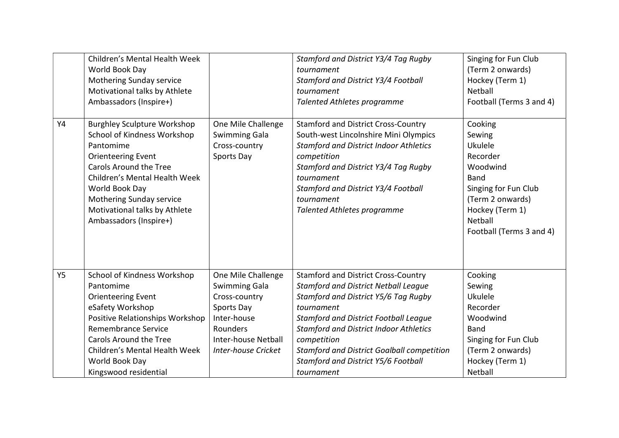| <b>Y4</b> | Children's Mental Health Week<br>World Book Day<br>Mothering Sunday service<br>Motivational talks by Athlete<br>Ambassadors (Inspire+)<br><b>Burghley Sculpture Workshop</b>                                                                                     | One Mile Challenge                                                                                                                                        | Stamford and District Y3/4 Tag Rugby<br>tournament<br>Stamford and District Y3/4 Football<br>tournament<br><b>Talented Athletes programme</b><br><b>Stamford and District Cross-Country</b>                                                                                                                                                                               | Singing for Fun Club<br>(Term 2 onwards)<br>Hockey (Term 1)<br>Netball<br>Football (Terms 3 and 4)<br>Cooking                                                  |
|-----------|------------------------------------------------------------------------------------------------------------------------------------------------------------------------------------------------------------------------------------------------------------------|-----------------------------------------------------------------------------------------------------------------------------------------------------------|---------------------------------------------------------------------------------------------------------------------------------------------------------------------------------------------------------------------------------------------------------------------------------------------------------------------------------------------------------------------------|----------------------------------------------------------------------------------------------------------------------------------------------------------------|
|           | School of Kindness Workshop<br>Pantomime<br><b>Orienteering Event</b><br>Carols Around the Tree<br>Children's Mental Health Week<br>World Book Day<br>Mothering Sunday service<br>Motivational talks by Athlete<br>Ambassadors (Inspire+)                        | <b>Swimming Gala</b><br>Cross-country<br>Sports Day                                                                                                       | South-west Lincolnshire Mini Olympics<br><b>Stamford and District Indoor Athletics</b><br>competition<br>Stamford and District Y3/4 Tag Rugby<br>tournament<br>Stamford and District Y3/4 Football<br>tournament<br><b>Talented Athletes programme</b>                                                                                                                    | Sewing<br>Ukulele<br>Recorder<br>Woodwind<br><b>Band</b><br>Singing for Fun Club<br>(Term 2 onwards)<br>Hockey (Term 1)<br>Netball<br>Football (Terms 3 and 4) |
| <b>Y5</b> | School of Kindness Workshop<br>Pantomime<br><b>Orienteering Event</b><br>eSafety Workshop<br>Positive Relationships Workshop<br><b>Remembrance Service</b><br>Carols Around the Tree<br>Children's Mental Health Week<br>World Book Day<br>Kingswood residential | One Mile Challenge<br><b>Swimming Gala</b><br>Cross-country<br>Sports Day<br>Inter-house<br>Rounders<br>Inter-house Netball<br><b>Inter-house Cricket</b> | <b>Stamford and District Cross-Country</b><br><b>Stamford and District Netball League</b><br>Stamford and District Y5/6 Tag Rugby<br>tournament<br><b>Stamford and District Football League</b><br><b>Stamford and District Indoor Athletics</b><br>competition<br><b>Stamford and District Goalball competition</b><br>Stamford and District Y5/6 Football<br>tournament | Cooking<br>Sewing<br>Ukulele<br>Recorder<br>Woodwind<br><b>Band</b><br>Singing for Fun Club<br>(Term 2 onwards)<br>Hockey (Term 1)<br>Netball                  |